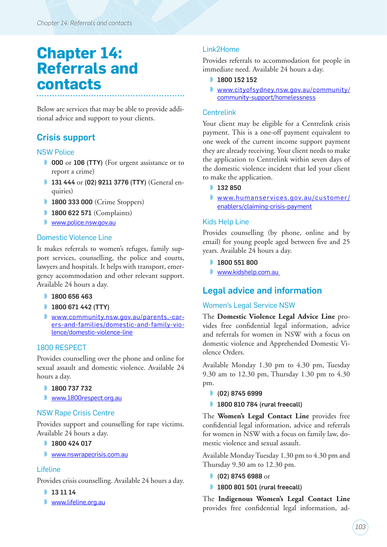# **Chapter 14: Referrals and contacts**

Below are services that may be able to provide additional advice and support to your clients.

# Crisis support

#### NSW Police

- ◗ 000 or 106 (TTY) (For urgent assistance or to report a crime)
- 131 444 or (02) 9211 3776 (TTY) (General enquiries)
- **1800 333 000** (Crime Stoppers)
- 1800 622 571 (Complaints)
- [www.police.nsw.gov.au](http://www.police.nsw.gov.au)

#### Domestic Violence Line

It makes referrals to women's refuges, family support services, counselling, the police and courts, lawyers and hospitals. It helps with transport, emergency accommodation and other relevant support. Available 24 hours a day.

- **1800 656 463**
- **1800 671 442 (TTY)**
- ◗ [www.community.nsw.gov.au/parents,-car](http://www.community.nsw.gov.au/parents,-carers-and-families/domestic-and-family-violence/domestic-violence-line)[ers-and-families/domestic-and-family-vio](http://www.community.nsw.gov.au/parents,-carers-and-families/domestic-and-family-violence/domestic-violence-line)[lence/domestic-violence-line](http://www.community.nsw.gov.au/parents,-carers-and-families/domestic-and-family-violence/domestic-violence-line)

### 1800 RESPECT

Provides counselling over the phone and online for sexual assault and domestic violence. Available 24 hours a day.

- ◗ 1800 737 732
- ◗ [www.1800respect.org.au](http://www.1800respect.org.au)

#### NSW Rape Crisis Centre

Provides support and counselling for rape victims. Available 24 hours a day.

- 1800 424 017
- ◗ [www.nswrapecrisis.com.au](http://www.nswrapecrisis.com.au)

### Lifeline

Provides crisis counselling. Available 24 hours a day.

- ◗ 13 11 14
- ◗ [www.lifeline.org.au](http://www.lifeline.org.au)

### Link2Home

Provides referrals to accommodation for people in immediate need. Available 24 hours a day.

- **1800 152 152**
- ◗ [www.cityofsydney.nsw.gov.au/community/](http://www.cityofsydney.nsw.gov.au/community/community-support/homelessness) [community-support/homelessness](http://www.cityofsydney.nsw.gov.au/community/community-support/homelessness)

### Centrelink

Your client may be eligible for a Centrelink crisis payment. This is a one-off payment equivalent to one week of the current income support payment they are already receiving. Your client needs to make the application to Centrelink within seven days of the domestic violence incident that led your client to make the application.

- 132 850
- ◗ [www.humanservices.gov.au/customer/](https://www.humanservices.gov.au/customer/enablers/claiming-crisis-payment) [enablers/claiming-crisis-payment](https://www.humanservices.gov.au/customer/enablers/claiming-crisis-payment)

### Kids Help Line

Provides counselling (by phone, online and by email) for young people aged between five and 25 years. Available 24 hours a day.

- 1800 551 800
- ◗ [www.kidshelp.com.au](http://www.kidshelp.com.au)

# Legal advice and information

### Women's Legal Service NSW

The **Domestic Violence Legal Advice Line** provides free confidential legal information, advice and referrals for women in NSW with a focus on domestic violence and Apprehended Domestic Violence Orders.

Available Monday 1.30 pm to 4.30 pm, Tuesday 9.30 am to 12.30 pm, Thursday 1.30 pm to 4.30 pm.

- ◗ (02) 8745 6999
- 1800 810 784 (rural freecall)

The **Women's Legal Contact Line** provides free confidential legal information, advice and referrals for women in NSW with a focus on family law, domestic violence and sexual assault.

Available Monday Tuesday 1.30 pm to 4.30 pm and Thursday 9.30 am to 12.30 pm.

- (02) 8745 6988 or
- 1800 801 501 (rural freecall)

The **Indigenous Women's Legal Contact Line** provides free confidential legal information, ad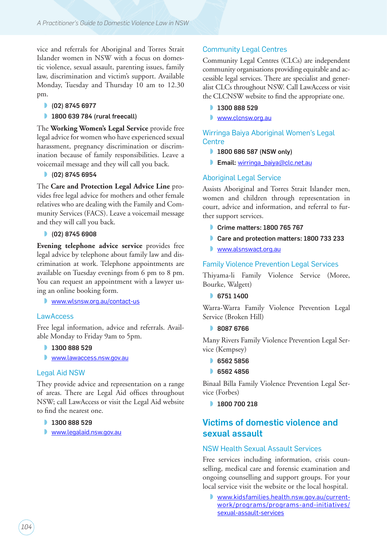vice and referrals for Aboriginal and Torres Strait Islander women in NSW with a focus on domestic violence, sexual assault, parenting issues, family law, discrimination and victim's support. Available Monday, Tuesday and Thursday 10 am to 12.30 pm.

- ◗ (02) 8745 6977
- 1800 639 784 (rural freecall)

The **Working Women's Legal Service** provide free legal advice for women who have experienced sexual harassment, pregnancy discrimination or discrimination because of family responsibilities. Leave a voicemail message and they will call you back.

◗ (02) 8745 6954

The **Care and Protection Legal Advice Line** provides free legal advice for mothers and other female relatives who are dealing with the Family and Community Services (FACS). Leave a voicemail message and they will call you back.

● (02) 8745 6908

**Evening telephone advice service** provides free legal advice by telephone about family law and discrimination at work. Telephone appointments are available on Tuesday evenings from 6 pm to 8 pm. You can request an appointment with a lawyer using an online booking form.

◗ [www.wlsnsw.org.au/contact-us](http://www.wlsnsw.org.au/contact-us)

#### **LawAccess**

Free legal information, advice and referrals. Available Monday to Friday 9am to 5pm.

- 1300 888 529
- [www.lawaccess.nsw.gov.au](http://www.lawaccess.nsw.gov.au)

#### Legal Aid NSW

They provide advice and representation on a range of areas. There are Legal Aid offices throughout NSW; call LawAccess or visit the Legal Aid website to find the nearest one.

- 1300 888 529
- ◗ [www.legalaid.nsw.gov.au](http://www.legalaid.nsw.gov.au)

#### Community Legal Centres

Community Legal Centres (CLCs) are independent community organisations providing equitable and accessible legal services. There are specialist and generalist CLCs throughout NSW. Call LawAccess or visit the CLCNSW website to find the appropriate one.

- 1300 888 529
- ◗ [www.clcnsw.org.au](http://www.clcnsw.org.au)

Wirringa Baiya Aboriginal Women's Legal **Centre** 

- 1800 686 587 (NSW only)
- Email: [wirringa\\_baiya@clc.net.au](mailto:wirringa_baiya@clc.net.au)

#### Aboriginal Legal Service

Assists Aboriginal and Torres Strait Islander men, women and children through representation in court, advice and information, and referral to further support services.

- Crime matters: 1800 765 767
- Care and protection matters: 1800 733 233
- [www.alsnswact.org.au](http://www.alsnswact.org.au)

#### Family Violence Prevention Legal Services

Thiyama-li Family Violence Service (Moree, Bourke, Walgett)

**6751 1400** 

Warra-Warra Family Violence Prevention Legal Service (Broken Hill)

◗ 8087 6766

Many Rivers Family Violence Prevention Legal Service (Kempsey)

- **6562 5856**
- ◗ 6562 4856

Binaal Billa Family Violence Prevention Legal Service (Forbes)

● 1800 700 218

### Victims of domestic violence and sexual assault

#### NSW Health Sexual Assault Services

Free services including information, crisis counselling, medical care and forensic examination and ongoing counselling and support groups. For your local service visit the website or the local hospital.

◗ [www.kidsfamilies.health.nsw.gov.au/current](http://www.kidsfamilies.health.nsw.gov.au/current-work/programs/programs-and-initiatives/sexual-assault-services)[work/programs/programs-and-initiatives/](http://www.kidsfamilies.health.nsw.gov.au/current-work/programs/programs-and-initiatives/sexual-assault-services) [sexual-assault-services](http://www.kidsfamilies.health.nsw.gov.au/current-work/programs/programs-and-initiatives/sexual-assault-services)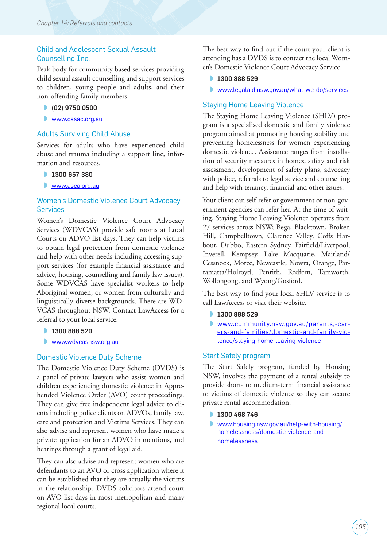#### Child and Adolescent Sexual Assault Counselling Inc.

Peak body for community based services providing child sexual assault counselling and support services to children, young people and adults, and their non-offending family members.

- (02) 9750 0500
- ◗ [www.casac.org.au](http://www.casac.org.au)

#### Adults Surviving Child Abuse

Services for adults who have experienced child abuse and trauma including a support line, information and resources.

- 1300 657 380
- **Www.asca.org.au**

#### Women's Domestic Violence Court Advocacy **Services**

Women's Domestic Violence Court Advocacy Services (WDVCAS) provide safe rooms at Local Courts on ADVO list days. They can help victims to obtain legal protection from domestic violence and help with other needs including accessing support services (for example financial assistance and advice, housing, counselling and family law issues). Some WDVCAS have specialist workers to help Aboriginal women, or women from culturally and linguistically diverse backgrounds. There are WD-VCAS throughout NSW. Contact LawAccess for a referral to your local service.

- 1300 888 529
- **N** [www.wdvcasnsw.org.au](http://www.wdvcasnsw.org.au)

#### Domestic Violence Duty Scheme

The Domestic Violence Duty Scheme (DVDS) is a panel of private lawyers who assist women and children experiencing domestic violence in Apprehended Violence Order (AVO) court proceedings. They can give free independent legal advice to clients including police clients on ADVOs, family law, care and protection and Victims Services. They can also advise and represent women who have made a private application for an ADVO in mentions, and hearings through a grant of legal aid.

They can also advise and represent women who are defendants to an AVO or cross application where it can be established that they are actually the victims in the relationship. DVDS solicitors attend court on AVO list days in most metropolitan and many regional local courts.

The best way to find out if the court your client is attending has a DVDS is to contact the local Women's Domestic Violence Court Advocacy Service.

- 1300 888 529
- ◗ www.legalaid.nsw.gov.au/what-we-do/services

#### Staying Home Leaving Violence

The Staying Home Leaving Violence (SHLV) program is a specialised domestic and family violence program aimed at promoting housing stability and preventing homelessness for women experiencing domestic violence. Assistance ranges from installation of security measures in homes, safety and risk assessment, development of safety plans, advocacy with police, referrals to legal advice and counselling and help with tenancy, financial and other issues.

Your client can self-refer or government or non-government agencies can refer her. At the time of writing, Staying Home Leaving Violence operates from 27 services across NSW; Bega, Blacktown, Broken Hill, Campbelltown, Clarence Valley, Coffs Harbour, Dubbo, Eastern Sydney, Fairfield/Liverpool, Inverell, Kempsey, Lake Macquarie, Maitland/ Cessnock, Moree, Newcastle, Nowra, Orange, Parramatta/Holroyd, Penrith, Redfern, Tamworth, Wollongong, and Wyong/Gosford.

The best way to find your local SHLV service is to call LawAccess or visit their website.

- **1300 888 529**
- ◗ [www.community.nsw.gov.au/parents,-car](http://www.community.nsw.gov.au/parents,-carers-and-families/domestic-and-family-violence/staying-home-leaving-violence)[ers-and-families/domestic-and-family-vio](http://www.community.nsw.gov.au/parents,-carers-and-families/domestic-and-family-violence/staying-home-leaving-violence)[lence/staying-home-leaving-violence](http://www.community.nsw.gov.au/parents,-carers-and-families/domestic-and-family-violence/staying-home-leaving-violence)

#### Start Safely program

The Start Safely program, funded by Housing NSW, involves the payment of a rental subsidy to provide short- to medium-term financial assistance to victims of domestic violence so they can secure private rental accommodation.

- 1300 468 746
- ◗ [www.housing.nsw.gov.au/help-with-housing/](http://www.housing.nsw.gov.au/help-with-housing/homelessness/domestic-violence-and-homelessness) [homelessness/domestic-violence-and](http://www.housing.nsw.gov.au/help-with-housing/homelessness/domestic-violence-and-homelessness)[homelessness](http://www.housing.nsw.gov.au/help-with-housing/homelessness/domestic-violence-and-homelessness)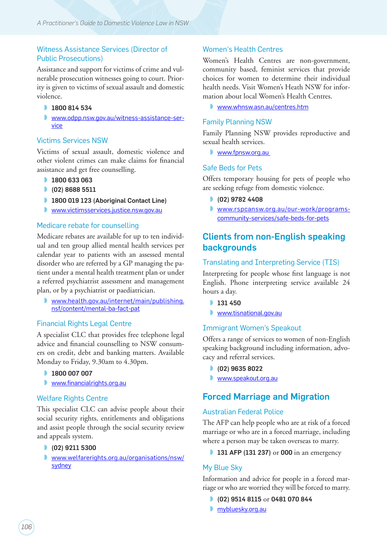#### Witness Assistance Services (Director of Public Prosecutions)

Assistance and support for victims of crime and vulnerable prosecution witnesses going to court. Priority is given to victims of sexual assault and domestic violence.

- **1800 814 534**
- ◗ [www.odpp.nsw.gov.au/witness-assistance-ser](http://www.odpp.nsw.gov.au/witness-assistance-service)[vice](http://www.odpp.nsw.gov.au/witness-assistance-service)

#### Victims Services NSW

Victims of sexual assault, domestic violence and other violent crimes can make claims for financial assistance and get free counselling.

- 1800 633 063
- (02) 8688 5511
- 1800 019 123 (Aboriginal Contact Line)
- ◗ [www.victimsservices.justice.nsw.gov.au](http://www.victimsservices.justice.nsw.gov.au)

#### Medicare rebate for counselling

Medicare rebates are available for up to ten individual and ten group allied mental health services per calendar year to patients with an assessed mental disorder who are referred by a GP managing the patient under a mental health treatment plan or under a referred psychiatrist assessment and management plan, or by a psychiatrist or paediatrician.

◗ [www.health.gov.au/internet/main/publishing.](http://www.health.gov.au/internet/main/publishing.nsf/content/mental-ba-fact-pat) [nsf/content/mental-ba-fact-pat](http://www.health.gov.au/internet/main/publishing.nsf/content/mental-ba-fact-pat)

#### Financial Rights Legal Centre

A specialist CLC that provides free telephone legal advice and financial counselling to NSW consumers on credit, debt and banking matters. Available Monday to Friday, 9.30am to 4.30pm.

- 1800 007 007
- [www.financialrights.org.au](http://www.financialrights.org.au)

#### Welfare Rights Centre

This specialist CLC can advise people about their social security rights, entitlements and obligations and assist people through the social security review and appeals system.

#### ◗ (02) 9211 5300

◗ [www.welfarerights.org.au/organisations/nsw/](http://www.welfarerights.org.au/organisations/nsw/sydney) [sydney](http://www.welfarerights.org.au/organisations/nsw/sydney)

#### Women's Health Centres

Women's Health Centres are non-government, community based, feminist services that provide choices for women to determine their individual health needs. Visit Women's Heath NSW for information about local Women's Health Centres.

◗ [www.whnsw.asn.au/centres.htm](http://www.whnsw.asn.au/centres.htm)

#### Family Planning NSW

Family Planning NSW provides reproductive and sexual health services.

◗ www.fpnsw.org.au

#### Safe Beds for Pets

Offers temporary housing for pets of people who are seeking refuge from domestic violence.

- ◗ (02) 9782 4408
- ◗ [www.rspcansw.org.au/our-work/programs](https://www.rspcansw.org.au/our-work/programs-community-services/safe-beds-for-pets)[community-services/safe-beds-for-pets](https://www.rspcansw.org.au/our-work/programs-community-services/safe-beds-for-pets)

### Clients from non-English speaking **backgrounds**

#### Translating and Interpreting Service (TIS)

Interpreting for people whose first language is not English. Phone interpreting service available 24 hours a day.

- **131 450**
- ◗ [www.tisnational.gov.au](http://www.tisnational.gov.au)

#### Immigrant Women's Speakout

Offers a range of services to women of non-English speaking background including information, advocacy and referral services.

- ◗ (02) 9635 8022
- ◗ [www.speakout.org.au](http://www.speakout.org.au)

### Forced Marriage and Migration

#### Australian Federal Police

The AFP can help people who are at risk of a forced marriage or who are in a forced marriage, including where a person may be taken overseas to marry.

**131 AFP (131 237)** or **000** in an emergency

#### My Blue Sky

Information and advice for people in a forced marriage or who are worried they will be forced to marry.

- (02) 9514 8115 or 0481 070 844
- ◗ mybluesky.org.au